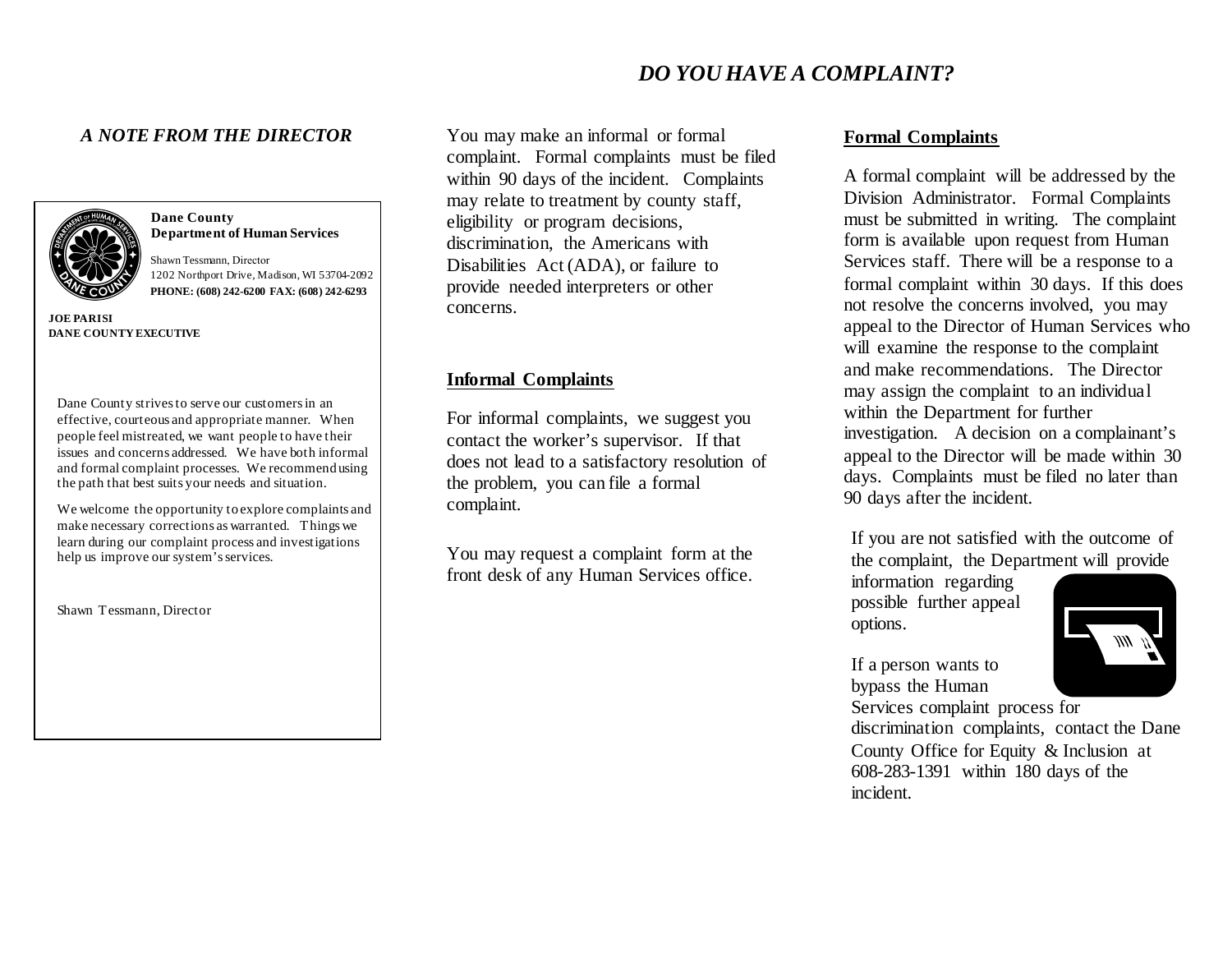## *A NOTE FROM THE DIRECTOR*



**Dane County Department of Human Services**

Shawn Tessmann, Director 1202 Northport Drive, Madison, WI 53704-2092  **PHONE: (608) 242-6200 FAX: (608) 242-6293**

**JOE PARISI DANE COUNTY EXECUTIVE**

Dane County strives to serve our customers in an effective, courteous and appropriate manner. When people feel mistreated, we want people to have their issues and concerns addressed. We have both informal and formal complaint processes. We recommend using the path that best suits your needs and situation.

We welcome the opportunity to explore complaints and make necessary corrections as warranted. Things we learn during our complaint process and investigations help us improve our system's services.

Shawn Tessmann, Director

You may make an informal or formal complaint. Formal complaints must be filed within 90 days of the incident. Complaints may relate to treatment by county staff, eligibility or program decisions, discrimination, the Americans with Disabilities Act (ADA), or failure to provide needed interpreters or other concerns.

## **Informal Complaints**

For informal complaints, we suggest you contact the worker's supervisor. If that does not lead to a satisfactory resolution of the problem, you can file a formal complaint.

You may request a complaint form at the front desk of any Human Services office.

# **Formal Complaints**

A formal complaint will be addressed by the Division Administrator. Formal Complaints must be submitted in writing. The complaint form is available upon request from Human Services staff. There will be a response to a formal complaint within 30 days. If this does not resolve the concerns involved, you may appeal to the Director of Human Services who will examine the response to the complaint and make recommendations. The Director may assign the complaint to an individual within the Department for further investigation. A decision on a complainant's appeal to the Director will be made within 30 days. Complaints must be filed no later than 90 days after the incident.

If you are not satisfied with the outcome of the complaint, the Department will provide

information regarding possible further appeal options.

If a person wants to bypass the Human

Services complaint process for discrimination complaints, contact the Dane County Office for Equity & Inclusion at 608-283-1391 within 180 days of the incident.